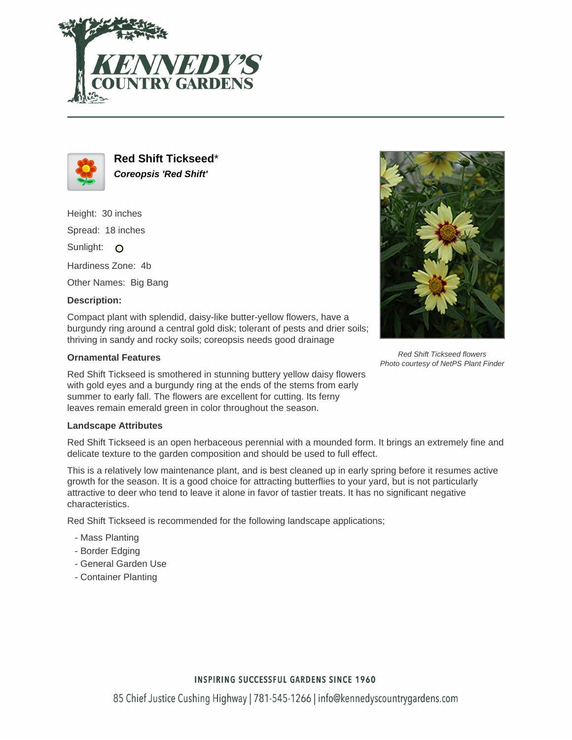



**Red Shift Tickseed**\* **Coreopsis 'Red Shift'**

Height: 30 inches

Spread: 18 inches

Sunlight: O

Hardiness Zone: 4b

Other Names: Big Bang

## **Description:**

Compact plant with splendid, daisy-like butter-yellow flowers, have a burgundy ring around a central gold disk; tolerant of pests and drier soils; thriving in sandy and rocky soils; coreopsis needs good drainage

## **Ornamental Features**

Red Shift Tickseed is smothered in stunning buttery yellow daisy flowers with gold eyes and a burgundy ring at the ends of the stems from early summer to early fall. The flowers are excellent for cutting. Its ferny leaves remain emerald green in color throughout the season.

## **Landscape Attributes**

Red Shift Tickseed is an open herbaceous perennial with a mounded form. It brings an extremely fine and delicate texture to the garden composition and should be used to full effect.

This is a relatively low maintenance plant, and is best cleaned up in early spring before it resumes active growth for the season. It is a good choice for attracting butterflies to your yard, but is not particularly attractive to deer who tend to leave it alone in favor of tastier treats. It has no significant negative characteristics.

Red Shift Tickseed is recommended for the following landscape applications;

- Mass Planting
- Border Edging
- General Garden Use
- Container Planting



Red Shift Tickseed flowers Photo courtesy of NetPS Plant Finder